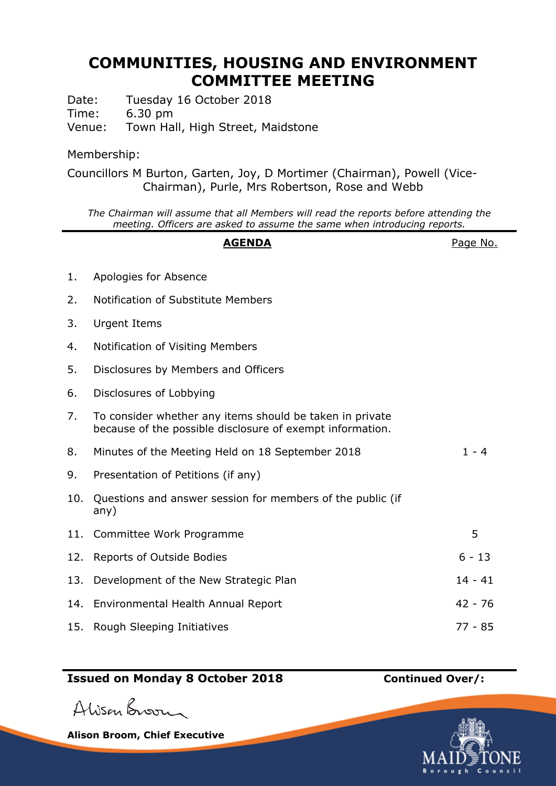# **COMMUNITIES, HOUSING AND ENVIRONMENT COMMITTEE MEETING**

Date: Tuesday 16 October 2018 Time: 6.30 pm

Venue: Town Hall, High Street, Maidstone

### Membership:

Councillors M Burton, Garten, Joy, D Mortimer (Chairman), Powell (Vice-Chairman), Purle, Mrs Robertson, Rose and Webb

*The Chairman will assume that all Members will read the reports before attending the meeting. Officers are asked to assume the same when introducing reports.*

# AGENDA **AGENDA**Page No. 1. Apologies for Absence 2. Notification of Substitute Members 3. Urgent Items 4. Notification of Visiting Members 5. Disclosures by Members and Officers 6. Disclosures of Lobbying 7. To consider whether any items should be taken in private because of the possible disclosure of exempt information. 8. Minutes of the Meeting Held on 18 September 2018 1 - 4 9. Presentation of Petitions (if any) 10. Questions and answer session for members of the public (if any) 11. Committee Work Programme 5 12. Reports of Outside Bodies 6 - 13 13. Development of the New Strategic Plan 14 - 41 14. Environmental Health Annual Report 42 - 76 15. Rough Sleeping Initiatives 77 - 85

## **Issued on Monday 8 October 2018 Continued Over/:**

Alison Broom

**Alison Broom, Chief Executive**